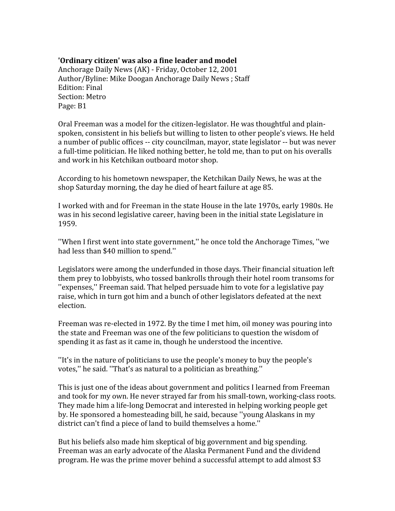## **'Ordinary
citizen'
was
also
a
fine
leader
and
model**

Anchorage
Daily
News
(AK)
‐
Friday,
October
12,
2001 Author/Byline: Mike Doogan Anchorage Daily News ; Staff Edition:
Final Section:
Metro Page:
B1

Oral Freeman was a model for the citizen-legislator. He was thoughtful and plainspoken, consistent in his beliefs but willing to listen to other people's views. He held a number of public offices -- city councilman, mayor, state legislator -- but was never a full-time politician. He liked nothing better, he told me, than to put on his overalls and
work
in
his
Ketchikan
outboard
motor
shop.

According
to
his
hometown
newspaper,
the
Ketchikan
Daily
News,
he
was
at
the shop
Saturday
morning,
the
day
he
died
of
heart
failure
at
age
85.

I worked with and for Freeman in the state House in the late 1970s, early 1980s. He was in his second legislative career, having been in the initial state Legislature in 1959.

''When
I
first
went
into
state
government,''
he
once
told
the
Anchorage
Times,
''we had
less
than
\$40
million
to
spend.''

Legislators were among the underfunded in those days. Their financial situation left them
prey
to
lobbyists,
who
tossed
bankrolls
through
their
hotel
room
transoms
for "expenses," Freeman said. That helped persuade him to vote for a legislative pay raise, which in turn got him and a bunch of other legislators defeated at the next election.

Freeman was re-elected in 1972. By the time I met him, oil money was pouring into the
state
and
Freeman
was
one
of
the
few
politicians
to
question
the
wisdom
of spending it as fast as it came in, though he understood the incentive.

"It's in the nature of politicians to use the people's money to buy the people's votes," he said. "That's as natural to a politician as breathing."

This is just one of the ideas about government and politics I learned from Freeman and
took
for
my
own.
He
never
strayed
far
from
his
small‐town,
working‐class
roots. They made him a life-long Democrat and interested in helping working people get by. He sponsored a homesteading bill, he said, because "young Alaskans in my district can't find a piece of land to build themselves a home."

But
his
beliefs
also
made
him
skeptical
of
big
government
and
big
spending. Freeman was an early advocate of the Alaska Permanent Fund and the dividend program.
He
was
the
prime
mover
behind
a
successful
attempt
to
add
almost
\$3